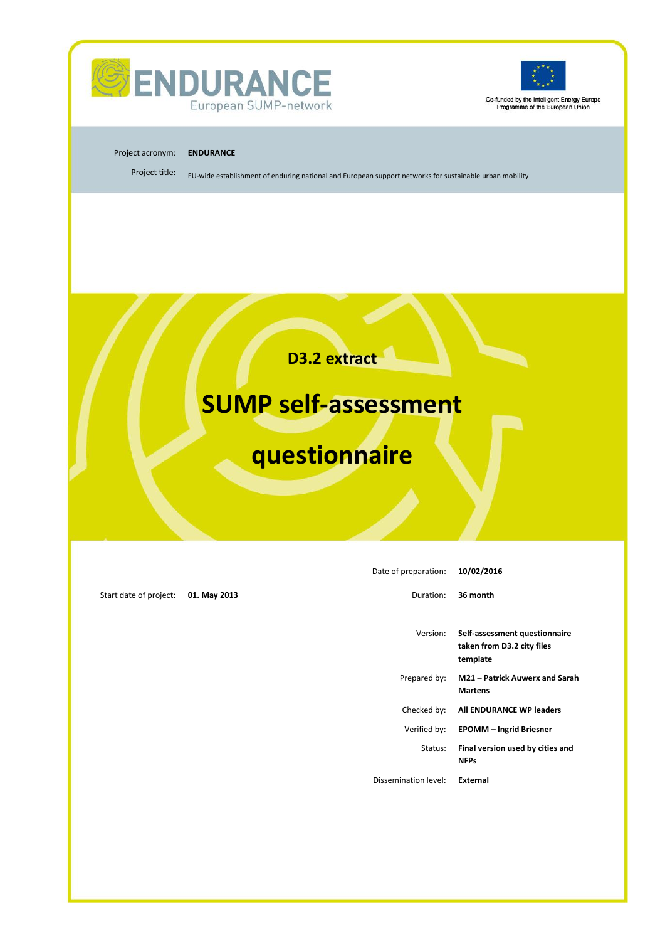



Co-funded by the Intelligent Energy Europe<br>Programme of the European Union

#### Project acronym: **ENDURANCE**

Project title: EU-wide establishment of enduring national and European support networks for sustainable urban mobility

**D3.2 extract**

# **SUMP self-assessment**

# **questionnaire**

| Date of preparation: | 10/02/2016                                                              |
|----------------------|-------------------------------------------------------------------------|
| Duration:            | 36 month                                                                |
| Version:             | Self-assessment questionnaire<br>taken from D3.2 city files<br>template |
| Prepared by:         | M21 - Patrick Auwerx and Sarah<br><b>Martens</b>                        |
| Checked by:          | All ENDURANCE WP leaders                                                |
| Verified by:         | <b>EPOMM - Ingrid Briesner</b>                                          |
| Status:              | Final version used by cities and<br><b>NFPs</b>                         |
| Dissemination level: | External                                                                |
|                      |                                                                         |
|                      |                                                                         |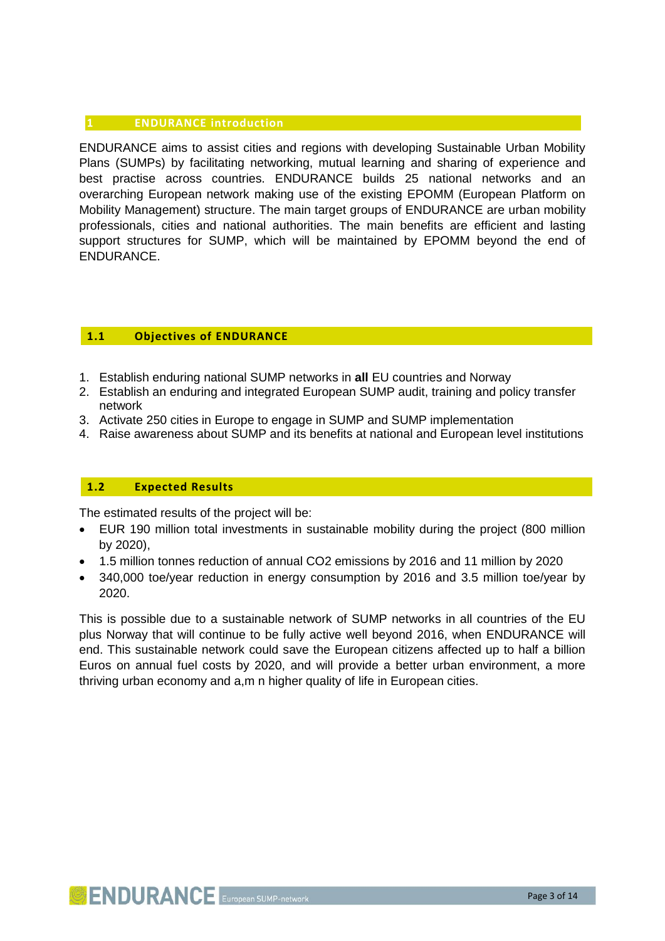## <span id="page-2-0"></span>**1 ENDURANCE introduction**

ENDURANCE aims to assist cities and regions with developing Sustainable Urban Mobility Plans (SUMPs) by facilitating networking, mutual learning and sharing of experience and best practise across countries. ENDURANCE builds 25 national networks and an overarching European network making use of the existing EPOMM (European Platform on Mobility Management) structure. The main target groups of ENDURANCE are urban mobility professionals, cities and national authorities. The main benefits are efficient and lasting support structures for SUMP, which will be maintained by EPOMM beyond the end of ENDURANCE.

# <span id="page-2-1"></span>**1.1 Objectives of ENDURANCE**

- 1. Establish enduring national SUMP networks in **all** EU countries and Norway
- 2. Establish an enduring and integrated European SUMP audit, training and policy transfer network
- 3. Activate 250 cities in Europe to engage in SUMP and SUMP implementation
- 4. Raise awareness about SUMP and its benefits at national and European level institutions

## <span id="page-2-2"></span>**1.2 Expected Results**

The estimated results of the project will be:

- EUR 190 million total investments in sustainable mobility during the project (800 million by 2020),
- 1.5 million tonnes reduction of annual CO2 emissions by 2016 and 11 million by 2020
- 340,000 toe/year reduction in energy consumption by 2016 and 3.5 million toe/year by 2020.

This is possible due to a sustainable network of SUMP networks in all countries of the EU plus Norway that will continue to be fully active well beyond 2016, when ENDURANCE will end. This sustainable network could save the European citizens affected up to half a billion Euros on annual fuel costs by 2020, and will provide a better urban environment, a more thriving urban economy and a,m n higher quality of life in European cities.

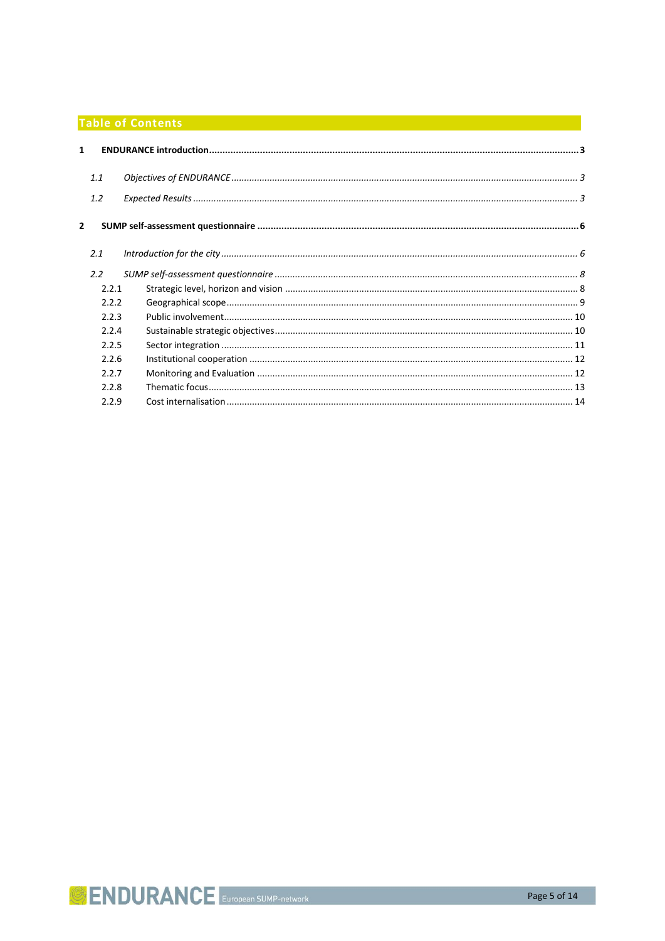# **Table of Contents** and the content of the content of the content of the content of the content of the content of

| $\mathbf{1}$   |       |  |
|----------------|-------|--|
|                | 1.1   |  |
|                | 1.2   |  |
| $\overline{2}$ |       |  |
|                | 2.1   |  |
|                | 2.2   |  |
|                | 2.2.1 |  |
|                | 2.2.2 |  |
|                | 2.2.3 |  |
|                | 2.2.4 |  |
|                | 2.2.5 |  |
|                | 2.2.6 |  |
|                | 2.2.7 |  |
|                | 2.2.8 |  |
|                | 2.2.9 |  |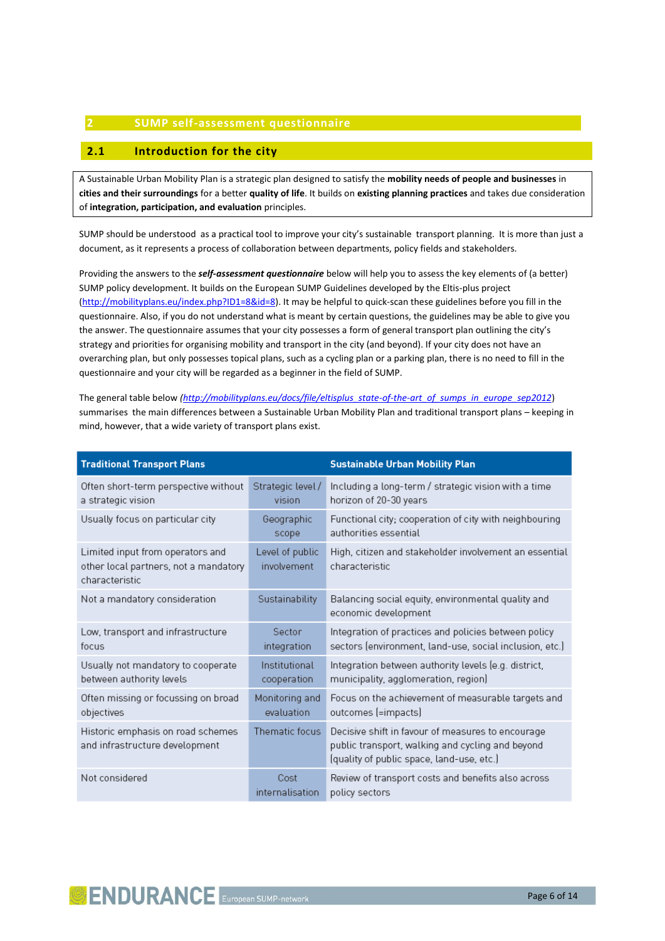#### <span id="page-5-0"></span>**2 SUMP self-assessment questionnaire**

#### <span id="page-5-1"></span>**2.1 Introduction for the city**

A Sustainable Urban Mobility Plan is a strategic plan designed to satisfy the **mobility needs of people and businesses** in **cities and their surroundings** for a better **quality of life**. It builds on **existing planning practices** and takes due consideration of **integration, participation, and evaluation** principles.

SUMP should be understood as a practical tool to improve your city's sustainable transport planning. It is more than just a document, as it represents a process of collaboration between departments, policy fields and stakeholders.

Providing the answers to the *self-assessment questionnaire* below will help you to assess the key elements of (a better) SUMP policy development. It builds on the European SUMP Guidelines developed by the Eltis-plus project [\(http://mobilityplans.eu/index.php?ID1=8&id=8\)](http://mobilityplans.eu/index.php?ID1=8&id=8). It may be helpful to quick-scan these guidelines before you fill in the questionnaire. Also, if you do not understand what is meant by certain questions, the guidelines may be able to give you the answer. The questionnaire assumes that your city possesses a form of general transport plan outlining the city's strategy and priorities for organising mobility and transport in the city (and beyond). If your city does not have an overarching plan, but only possesses topical plans, such as a cycling plan or a parking plan, there is no need to fill in the questionnaire and your city will be regarded as a beginner in the field of SUMP.

The general table below *[\(http://mobilityplans.eu/docs/file/eltisplus\\_state-of-the-art\\_of\\_sumps\\_in\\_europe\\_sep2012](http://mobilityplans.eu/docs/file/eltisplus_state-of-the-art_of_sumps_in_europe_sep2012)*) summarises the main differences between a Sustainable Urban Mobility Plan and traditional transport plans – keeping in mind, however, that a wide variety of transport plans exist.

| <b>Traditional Transport Plans</b>                                                          |                                | <b>Sustainable Urban Mobility Plan</b>                                                                                                             |
|---------------------------------------------------------------------------------------------|--------------------------------|----------------------------------------------------------------------------------------------------------------------------------------------------|
| Often short-term perspective without<br>a strategic vision                                  | Strategic level/<br>vision     | Including a long-term / strategic vision with a time<br>horizon of 20-30 years                                                                     |
| Usually focus on particular city                                                            | Geographic<br>scope            | Functional city; cooperation of city with neighbouring<br>authorities essential                                                                    |
| Limited input from operators and<br>other local partners, not a mandatory<br>characteristic | Level of public<br>involvement | High, citizen and stakeholder involvement an essential<br>characteristic                                                                           |
| Not a mandatory consideration                                                               | Sustainability                 | Balancing social equity, environmental quality and<br>economic development                                                                         |
| Low, transport and infrastructure<br>focus                                                  | Sector<br>integration          | Integration of practices and policies between policy<br>sectors (environment, land-use, social inclusion, etc.)                                    |
| Usually not mandatory to cooperate<br>between authority levels                              | Institutional<br>cooperation   | Integration between authority levels (e.g. district,<br>municipality, agglomeration, region)                                                       |
| Often missing or focussing on broad<br>objectives                                           | Monitoring and<br>evaluation   | Focus on the achievement of measurable targets and<br>outcomes (=impacts)                                                                          |
| Historic emphasis on road schemes<br>and infrastructure development                         | Thematic focus                 | Decisive shift in favour of measures to encourage<br>public transport, walking and cycling and beyond<br>(quality of public space, land-use, etc.) |
| Not considered                                                                              | Cost<br>internalisation        | Review of transport costs and benefits also across<br>policy sectors                                                                               |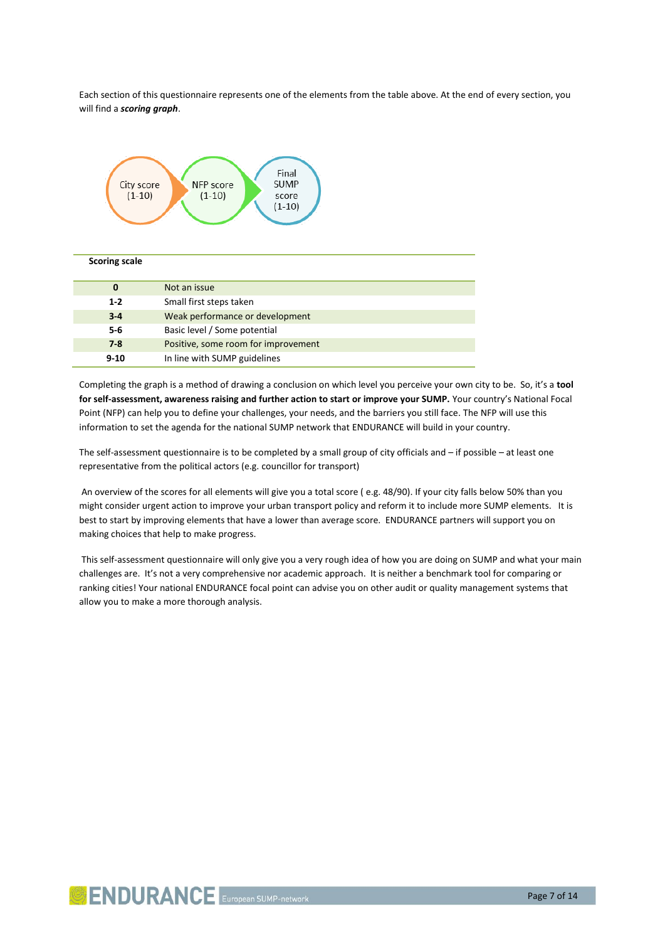Each section of this questionnaire represents one of the elements from the table above. At the end of every section, you will find a *scoring graph*.



#### **Scoring scale**

| 0        | Not an issue                        |
|----------|-------------------------------------|
| $1 - 2$  | Small first steps taken             |
| $3 - 4$  | Weak performance or development     |
| $5-6$    | Basic level / Some potential        |
| $7 - 8$  | Positive, some room for improvement |
| $9 - 10$ | In line with SUMP guidelines        |

Completing the graph is a method of drawing a conclusion on which level you perceive your own city to be. So, it's a **tool for self-assessment, awareness raising and further action to start or improve your SUMP.** Your country's National Focal Point (NFP) can help you to define your challenges, your needs, and the barriers you still face. The NFP will use this information to set the agenda for the national SUMP network that ENDURANCE will build in your country.

The self-assessment questionnaire is to be completed by a small group of city officials and – if possible – at least one representative from the political actors (e.g. councillor for transport)

An overview of the scores for all elements will give you a total score ( e.g. 48/90). If your city falls below 50% than you might consider urgent action to improve your urban transport policy and reform it to include more SUMP elements. It is best to start by improving elements that have a lower than average score. ENDURANCE partners will support you on making choices that help to make progress.

This self-assessment questionnaire will only give you a very rough idea of how you are doing on SUMP and what your main challenges are. It's not a very comprehensive nor academic approach. It is neither a benchmark tool for comparing or ranking cities! Your national ENDURANCE focal point can advise you on other audit or quality management systems that allow you to make a more thorough analysis.

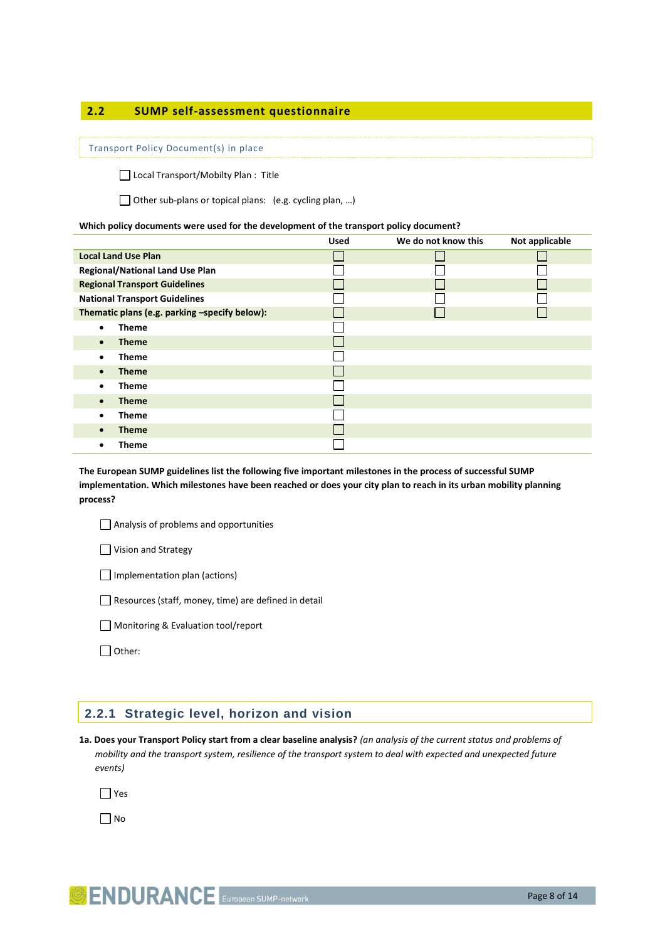### <span id="page-7-0"></span>**2.2 SUMP self-assessment questionnaire**

#### Transport Policy Document(s) in place

□ Local Transport/Mobilty Plan : Title

Other sub-plans or topical plans: (e.g. cycling plan, ...)

#### **Which policy documents were used for the development of the transport policy document?**

|                                               | <b>Used</b> | We do not know this | Not applicable |
|-----------------------------------------------|-------------|---------------------|----------------|
| <b>Local Land Use Plan</b>                    |             |                     |                |
| <b>Regional/National Land Use Plan</b>        |             |                     |                |
| <b>Regional Transport Guidelines</b>          |             |                     |                |
| <b>National Transport Guidelines</b>          |             |                     |                |
| Thematic plans (e.g. parking -specify below): |             |                     |                |
| <b>Theme</b><br>$\bullet$                     |             |                     |                |
| <b>Theme</b><br>$\bullet$                     |             |                     |                |
| <b>Theme</b><br>٠                             |             |                     |                |
| <b>Theme</b><br>$\bullet$                     |             |                     |                |
| <b>Theme</b><br>٠                             |             |                     |                |
| <b>Theme</b><br>$\bullet$                     |             |                     |                |
| <b>Theme</b><br>٠                             |             |                     |                |
| <b>Theme</b>                                  |             |                     |                |
| Theme                                         |             |                     |                |

**The European SUMP guidelines list the following five important milestones in the process of successful SUMP implementation. Which milestones have been reached or does your city plan to reach in its urban mobility planning process?** 

Analysis of problems and opportunities

Vision and Strategy

Implementation plan (actions)

Resources (staff, money, time) are defined in detail

Monitoring & Evaluation tool/report

Other:

### <span id="page-7-1"></span>**2.2.1 Strategic level, horizon and vision**

**1a. Does your Transport Policy start from a clear baseline analysis?** *(an analysis of the current status and problems of mobility and the transport system, resilience of the transport system to deal with expected and unexpected future events)*

 $\Box$  Yes

 $\prod$ No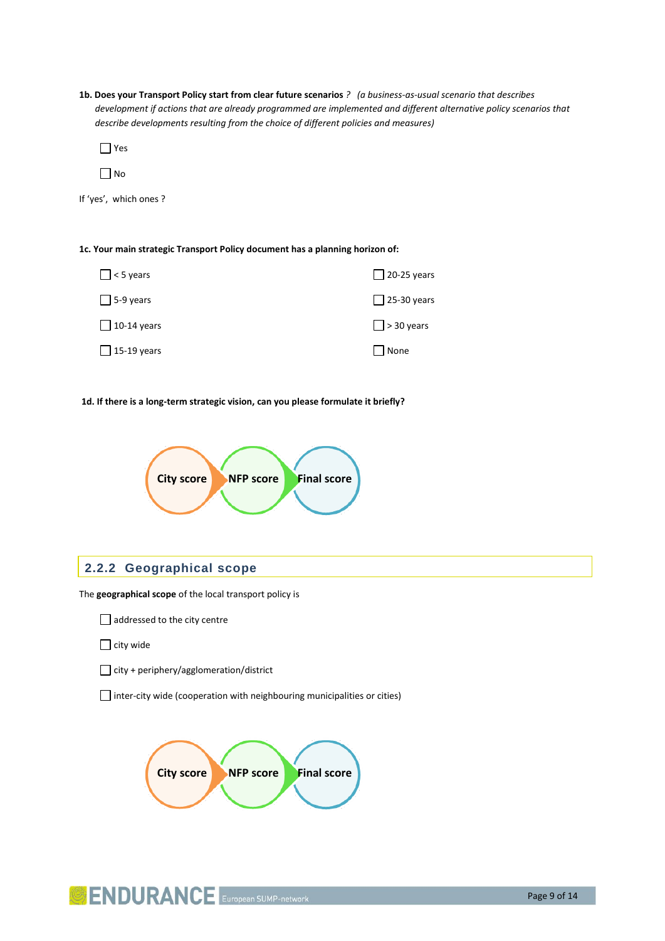**1b. Does your Transport Policy start from clear future scenarios** *? (a business-as-usual scenario that describes*  development if actions that are already programmed are implemented and different alternative policy scenarios that *describe developments resulting from the choice of different policies and measures)* 

Yes

 $\Box$  No

If 'yes', which ones ?

**1c. Your main strategic Transport Policy document has a planning horizon of:**

| $\Box$ < 5 years   | $\Box$ 20-25 years |
|--------------------|--------------------|
| $\Box$ 5-9 years   | $\Box$ 25-30 years |
| $\Box$ 10-14 years | $\Box$ > 30 years  |
| $\Box$ 15-19 years | None               |

#### **1d. If there is a long-term strategic vision, can you please formulate it briefly?**



#### <span id="page-8-0"></span>**2.2.2 Geographical scope**

The **geographical scope** of the local transport policy is

addressed to the city centre

 $\Box$  city wide

 $\Box$  city + periphery/agglomeration/district

 $\Box$  inter-city wide (cooperation with neighbouring municipalities or cities)



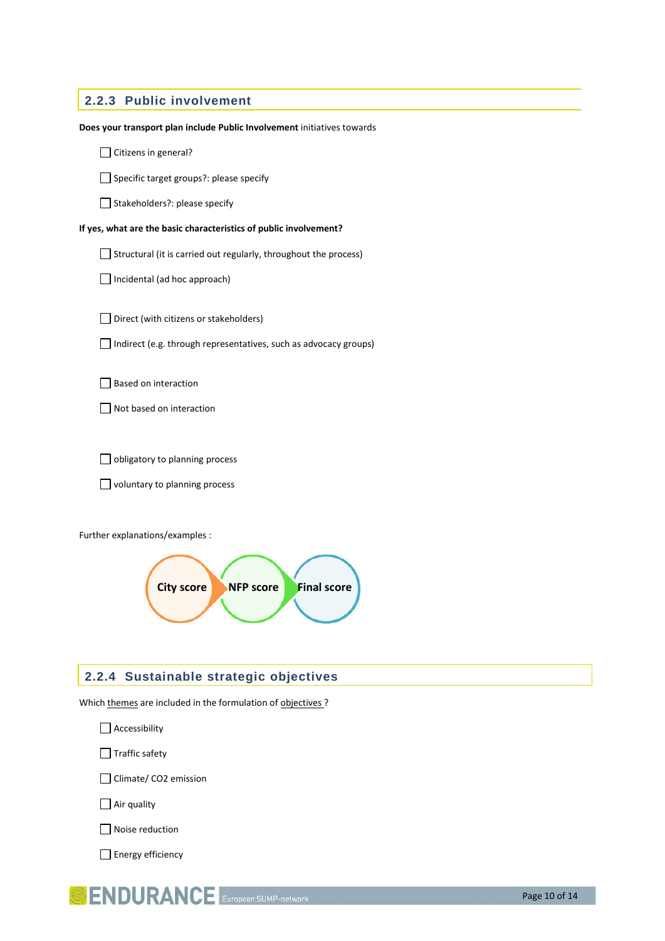# <span id="page-9-0"></span>**2.2.3 Public involvement**

| Does your transport plan include Public Involvement initiatives towards |
|-------------------------------------------------------------------------|
| Citizens in general?                                                    |
| Specific target groups?: please specify                                 |
| Stakeholders?: please specify                                           |
| If yes, what are the basic characteristics of public involvement?       |
| Structural (it is carried out regularly, throughout the process)        |
| Incidental (ad hoc approach)                                            |
| Direct (with citizens or stakeholders)                                  |
| Indirect (e.g. through representatives, such as advocacy groups)        |
| Based on interaction                                                    |
| Not based on interaction                                                |
|                                                                         |
| obligatory to planning process                                          |
| voluntary to planning process                                           |
|                                                                         |
| Further explanations/examples :                                         |
| <b>Final score</b><br><b>City score</b><br><b>NFP score</b>             |

# <span id="page-9-1"></span>**2.2.4 Sustainable strategic objectives**

Which themes are included in the formulation of objectives ?

Accessibility

Traffic safety

Climate/ CO2 emission

Air quality

 $\Box$  Noise reduction

Energy efficiency

**SENDURANCE** European SUMP-network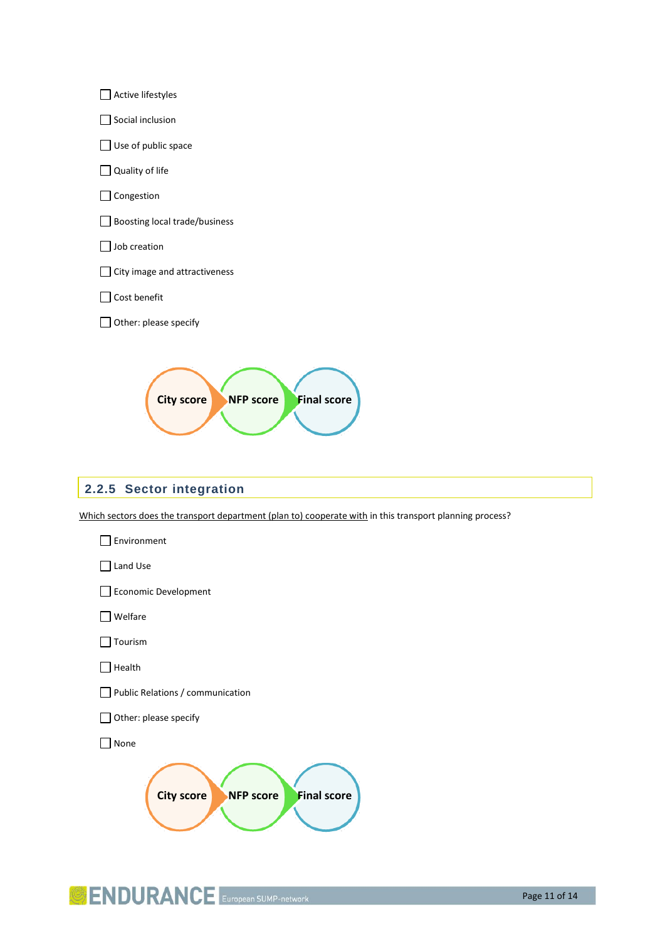

# <span id="page-10-0"></span>**2.2.5 Sector integration**

Which sectors does the transport department (plan to) cooperate with in this transport planning process?



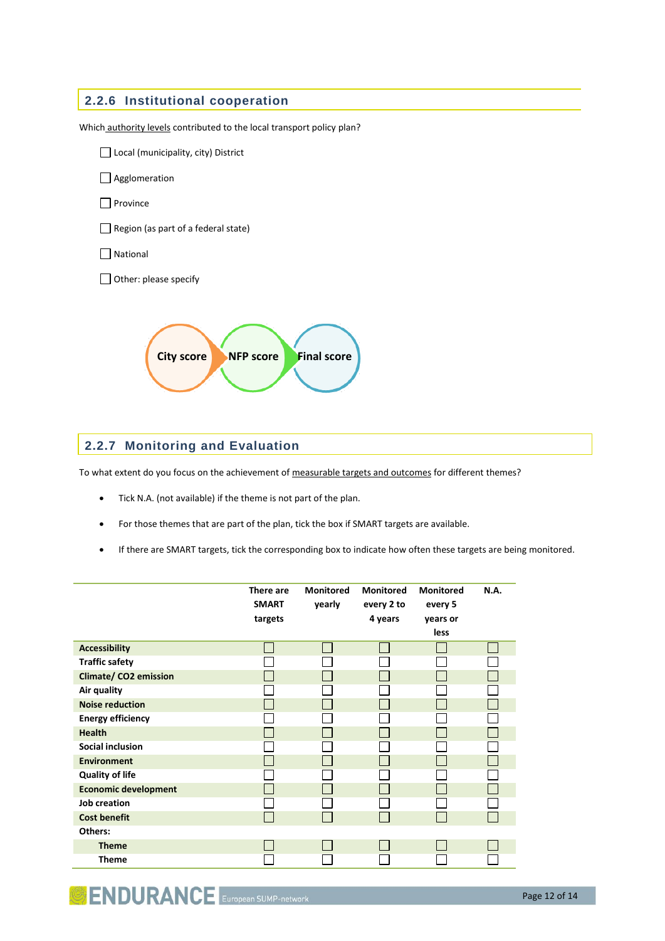<span id="page-11-0"></span>

# <span id="page-11-1"></span>**2.2.7 Monitoring and Evaluation**

To what extent do you focus on the achievement of measurable targets and outcomes for different themes?

- Tick N.A. (not available) if the theme is not part of the plan.
- For those themes that are part of the plan, tick the box if SMART targets are available.
- If there are SMART targets, tick the corresponding box to indicate how often these targets are being monitored.

|                              | There are<br><b>SMART</b> | <b>Monitored</b><br>yearly | <b>Monitored</b><br>every 2 to | <b>Monitored</b><br>every 5 | N.A. |
|------------------------------|---------------------------|----------------------------|--------------------------------|-----------------------------|------|
|                              | targets                   |                            | 4 years                        | years or                    |      |
|                              |                           |                            |                                | less                        |      |
| <b>Accessibility</b>         |                           |                            |                                |                             |      |
| <b>Traffic safety</b>        |                           |                            |                                |                             |      |
| <b>Climate/ CO2 emission</b> |                           |                            |                                |                             |      |
| Air quality                  |                           |                            |                                |                             |      |
| <b>Noise reduction</b>       |                           |                            |                                |                             |      |
| <b>Energy efficiency</b>     |                           |                            |                                |                             |      |
| <b>Health</b>                |                           |                            |                                |                             |      |
| Social inclusion             |                           |                            |                                |                             |      |
| <b>Environment</b>           |                           |                            |                                |                             |      |
| <b>Quality of life</b>       |                           |                            |                                |                             |      |
| <b>Economic development</b>  |                           |                            |                                |                             |      |
| <b>Job creation</b>          |                           |                            |                                |                             |      |
| <b>Cost benefit</b>          |                           |                            |                                |                             | L    |
| Others:                      |                           |                            |                                |                             |      |
| <b>Theme</b>                 |                           |                            |                                |                             |      |
| <b>Theme</b>                 |                           |                            |                                |                             |      |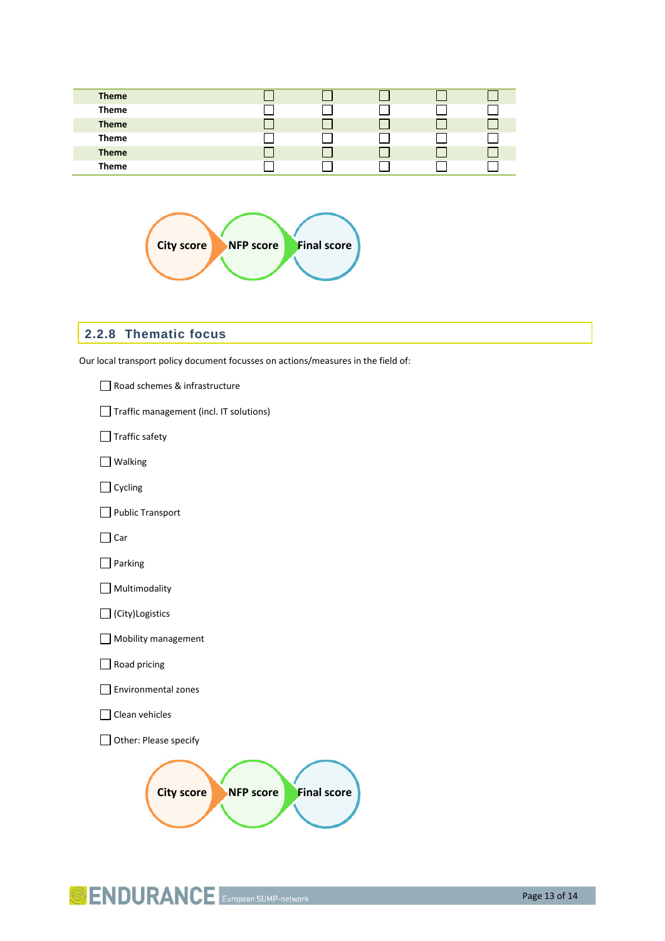| <b>Theme</b> |  |  |  |
|--------------|--|--|--|
| <b>Theme</b> |  |  |  |
| <b>Theme</b> |  |  |  |
| <b>Theme</b> |  |  |  |
| <b>Theme</b> |  |  |  |
| <b>Theme</b> |  |  |  |



## <span id="page-12-0"></span>**2.2.8 Thematic focus**

Our local transport policy document focusses on actions/measures in the field of:

| Road schemes & infrastructure                               |
|-------------------------------------------------------------|
| Traffic management (incl. IT solutions)                     |
| Traffic safety                                              |
| Walking                                                     |
| $\exists$ Cycling                                           |
| Public Transport                                            |
| Car                                                         |
| Parking                                                     |
| Multimodality                                               |
| (City)Logistics                                             |
| Mobility management                                         |
| Road pricing                                                |
| <b>Environmental zones</b>                                  |
| Clean vehicles                                              |
| Other: Please specify                                       |
| <b>Final score</b><br><b>City score</b><br><b>NFP score</b> |